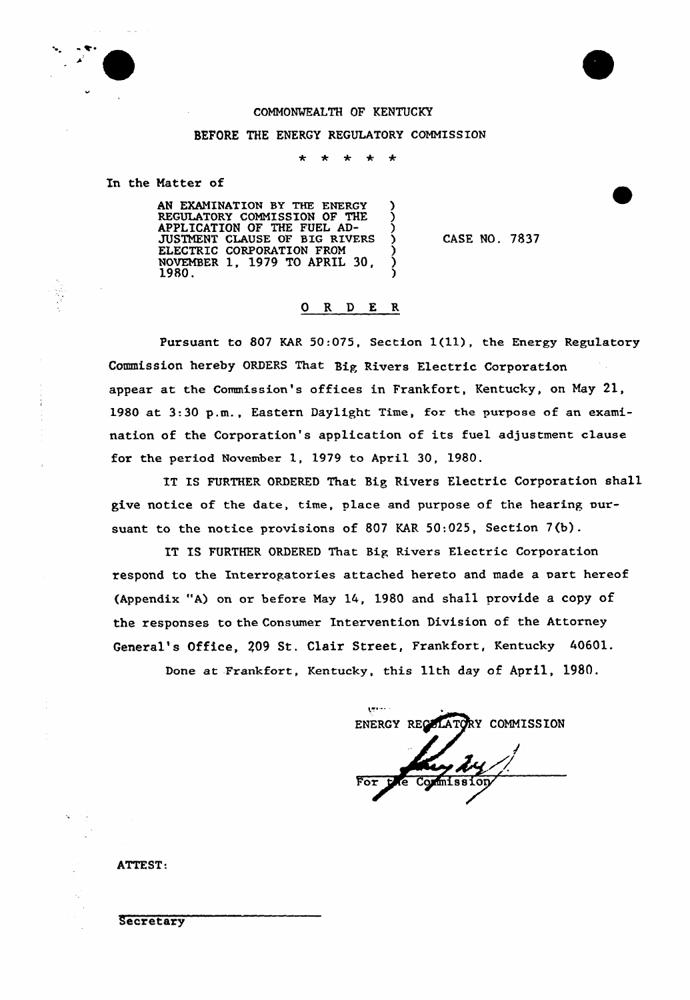

## COMMONWEALTH OF KENTUCKY

## BEFORE THE ENERGY REGULATORY COMMISSION

 $\ddot{\phantom{a}}$  $\ddot{\bullet}$  $\ddot{\phantom{0}}$  $\bullet$ 

In the Natter of

AN EXAMINATION BY THE ENERGY ) REGULATORY COMMISSION OF THE  $\left\{X_{i}\right\}_{i=1}^{N}$ APPLICATION OF THE FUEL AD-<br>THE FULL ALL AND THE PLUS OF STRIPS JUSTMENT CLAUSE OF BIG RIVERS ) ELECTRIC CORPORATION FROM NOVEMBER 1, 1979 TO APRIL 30,  $\left(\frac{1}{2}\right)$  $1980.$ <sup>297, 20</sup>  $\frac{1}{2}$   $\frac{1}{2}$   $\frac{1}{2}$   $\frac{1}{2}$   $\frac{1}{2}$ 

CASE NO. 7837

## 0 R <sup>D</sup> E R

Pursuant to 807 KAR 50:075, Section 1(11), the Energy Regulatory Commission hereby ORDERS That Big Rivexs Electric Corporation appear at the Commission's offices in Frankfort, Kentucky, on May 21, 1980 at 3:30 p.m., Eastern Daylight Time, for the purpose of an examination of the Corporation's application of its fuel adjustment clause for the period November 1, 1979 to April 30, 1980.

IT IS FURTHER ORDERED That Big Rivers Electric Corporation shall give notice of the date, time, place and purpose of the hearing oursuant to the notice provisions of 807 KAR 50:025, Section 7(b).

IT IS FURTHER ORDERED That Big Rivers Electric Corporation respond to the Interrogatories attached hereto and made a part hereof (Appendix "A) on or before May 14, 1980 and shall provide a copy of the responses to the Consumex Intexvention Division of the Attorney General's Office, 209 St. Clair Street, Frankfort, Kentucky 40601.

Done at Frankfort, Kentucky, this 11th day of April, 1980.

**Limited** ENERGY RECOLATORY COMMISSION Commission

ATTEST:

**Secretary**